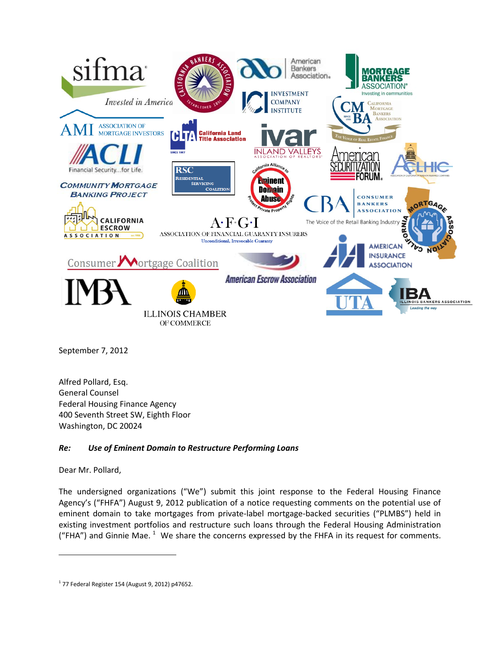

September 7, 2012

Alfred Pollard, Esq. General Counsel Federal Housing Finance Agency 400 Seventh Street SW, Eighth Floor Washington, DC 20024

#### *Re: Use of Eminent Domain to Restructure Performing Loans*

Dear Mr. Pollard,

l

The undersigned organizations ("We") submit this joint response to the Federal Housing Finance Agency's ("FHFA") August 9, 2012 publication of a notice requesting comments on the potential use of eminent domain to take mortgages from private-label mortgage-backed securities ("PLMBS") held in existing investment portfolios and restructure such loans through the Federal Housing Administration ("FHA") and Ginnie Mae.  $1$  We share the concerns expressed by the FHFA in its request for comments.

<span id="page-0-0"></span> $1$  77 Federal Register 154 (August 9, 2012) p47652.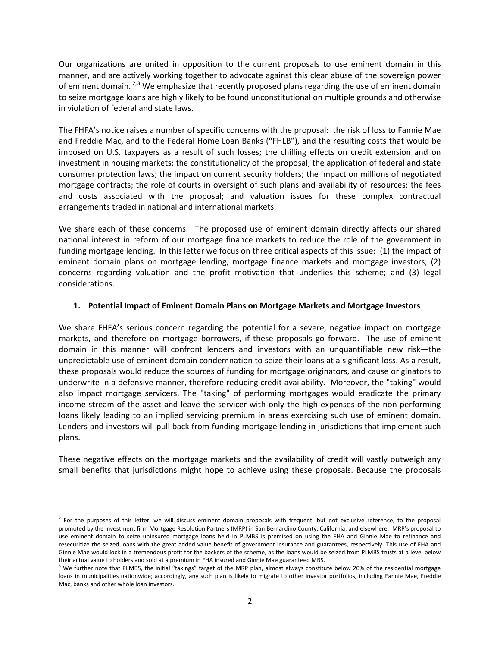Our organizations are united in opposition to the current proposals to use eminent domain in this manner, and are actively working together to advocate against this clear abuse of the sovereign power of eminent domain.  $^{2,3}$  $^{2,3}$  $^{2,3}$  $^{2,3}$  We emphasize that recently proposed plans regarding the use of eminent domain to seize mortgage loans are highly likely to be found unconstitutional on multiple grounds and otherwise in violation of federal and state laws.

The FHFA's notice raises a number of specific concerns with the proposal: the risk of loss to Fannie Mae and Freddie Mac, and to the Federal Home Loan Banks ("FHLB"), and the resulting costs that would be imposed on U.S. taxpayers as a result of such losses; the chilling effects on credit extension and on investment in housing markets; the constitutionality of the proposal; the application of federal and state consumer protection laws; the impact on current security holders; the impact on millions of negotiated mortgage contracts; the role of courts in oversight of such plans and availability of resources; the fees and costs associated with the proposal; and valuation issues for these complex contractual arrangements traded in national and international markets.

We share each of these concerns. The proposed use of eminent domain directly affects our shared national interest in reform of our mortgage finance markets to reduce the role of the government in funding mortgage lending. In this letter we focus on three critical aspects of this issue: (1) the impact of eminent domain plans on mortgage lending, mortgage finance markets and mortgage investors; (2) concerns regarding valuation and the profit motivation that underlies this scheme; and (3) legal considerations.

#### **1. Potential Impact of Eminent Domain Plans on Mortgage Markets and Mortgage Investors**

We share FHFA's serious concern regarding the potential for a severe, negative impact on mortgage markets, and therefore on mortgage borrowers, if these proposals go forward. The use of eminent domain in this manner will confront lenders and investors with an unquantifiable new risk—the unpredictable use of eminent domain condemnation to seize their loans at a significant loss. As a result, these proposals would reduce the sources of funding for mortgage originators, and cause originators to underwrite in a defensive manner, therefore reducing credit availability. Moreover, the "taking" would also impact mortgage servicers. The "taking" of performing mortgages would eradicate the primary income stream of the asset and leave the servicer with only the high expenses of the non-performing loans likely leading to an implied servicing premium in areas exercising such use of eminent domain. Lenders and investors will pull back from funding mortgage lending in jurisdictions that implement such plans.

These negative effects on the mortgage markets and the availability of credit will vastly outweigh any small benefits that jurisdictions might hope to achieve using these proposals. Because the proposals

 $\overline{\phantom{0}}$ 

<span id="page-1-0"></span> $<sup>2</sup>$  For the purposes of this letter, we will discuss eminent domain proposals with frequent, but not exclusive reference, to the proposal</sup> promoted by the investment firm Mortgage Resolution Partners (MRP) in San Bernardino County, California, and elsewhere. MRP's proposal to use eminent domain to seize uninsured mortgage loans held in PLMBS is premised on using the FHA and Ginnie Mae to refinance and resecuritize the seized loans with the great added value benefit of government insurance and guarantees, respectively. This use of FHA and Ginnie Mae would lock in a tremendous profit for the backers of the scheme, as the loans would be seized from PLMBS trusts at a level below their actual value to holders and sold at a premium in FHA insured and Ginnie Mae guaranteed MBS.

<span id="page-1-1"></span> $3$  We further note that PLMBS, the initial "takings" target of the MRP plan, almost always constitute below 20% of the residential mortgage loans in municipalities nationwide; accordingly, any such plan is likely to migrate to other investor portfolios, including Fannie Mae, Freddie Mac, banks and other whole loan investors.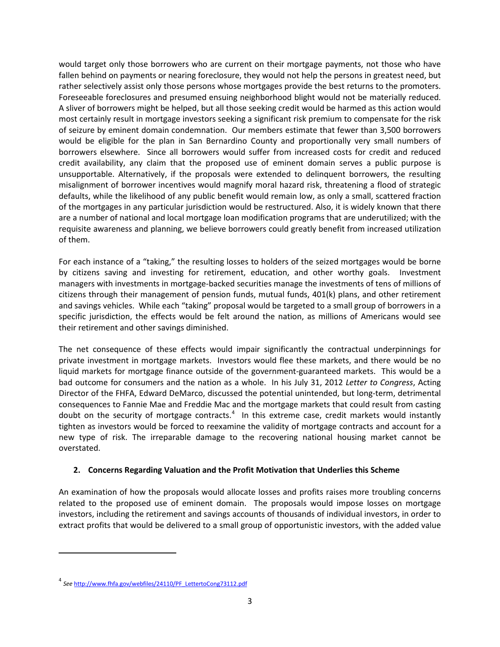would target only those borrowers who are current on their mortgage payments, not those who have fallen behind on payments or nearing foreclosure, they would not help the persons in greatest need, but rather selectively assist only those persons whose mortgages provide the best returns to the promoters. Foreseeable foreclosures and presumed ensuing neighborhood blight would not be materially reduced. A sliver of borrowers might be helped, but all those seeking credit would be harmed as this action would most certainly result in mortgage investors seeking a significant risk premium to compensate for the risk of seizure by eminent domain condemnation. Our members estimate that fewer than 3,500 borrowers would be eligible for the plan in San Bernardino County and proportionally very small numbers of borrowers elsewhere. Since all borrowers would suffer from increased costs for credit and reduced credit availability, any claim that the proposed use of eminent domain serves a public purpose is unsupportable. Alternatively, if the proposals were extended to delinquent borrowers, the resulting misalignment of borrower incentives would magnify moral hazard risk, threatening a flood of strategic defaults, while the likelihood of any public benefit would remain low, as only a small, scattered fraction of the mortgages in any particular jurisdiction would be restructured. Also, it is widely known that there are a number of national and local mortgage loan modification programs that are underutilized; with the requisite awareness and planning, we believe borrowers could greatly benefit from increased utilization of them.

For each instance of a "taking," the resulting losses to holders of the seized mortgages would be borne by citizens saving and investing for retirement, education, and other worthy goals. Investment managers with investments in mortgage-backed securities manage the investments of tens of millions of citizens through their management of pension funds, mutual funds, 401(k) plans, and other retirement and savings vehicles. While each "taking" proposal would be targeted to a small group of borrowers in a specific jurisdiction, the effects would be felt around the nation, as millions of Americans would see their retirement and other savings diminished.

The net consequence of these effects would impair significantly the contractual underpinnings for private investment in mortgage markets. Investors would flee these markets, and there would be no liquid markets for mortgage finance outside of the government-guaranteed markets. This would be a bad outcome for consumers and the nation as a whole. In his July 31, 2012 *Letter to Congress*, Acting Director of the FHFA, Edward DeMarco, discussed the potential unintended, but long-term, detrimental consequences to Fannie Mae and Freddie Mac and the mortgage markets that could result from casting doubt on the security of mortgage contracts. $4\,$  $4\,$  In this extreme case, credit markets would instantly tighten as investors would be forced to reexamine the validity of mortgage contracts and account for a new type of risk. The irreparable damage to the recovering national housing market cannot be overstated.

#### **2. Concerns Regarding Valuation and the Profit Motivation that Underlies this Scheme**

An examination of how the proposals would allocate losses and profits raises more troubling concerns related to the proposed use of eminent domain. The proposals would impose losses on mortgage investors, including the retirement and savings accounts of thousands of individual investors, in order to extract profits that would be delivered to a small group of opportunistic investors, with the added value

ı

<span id="page-2-0"></span><sup>4</sup> *See* [http://www.fhfa.gov/webfiles/24110/PF\\_LettertoCong73112.pdf](http://www.fhfa.gov/webfiles/24110/PF_LettertoCong73112.pdf)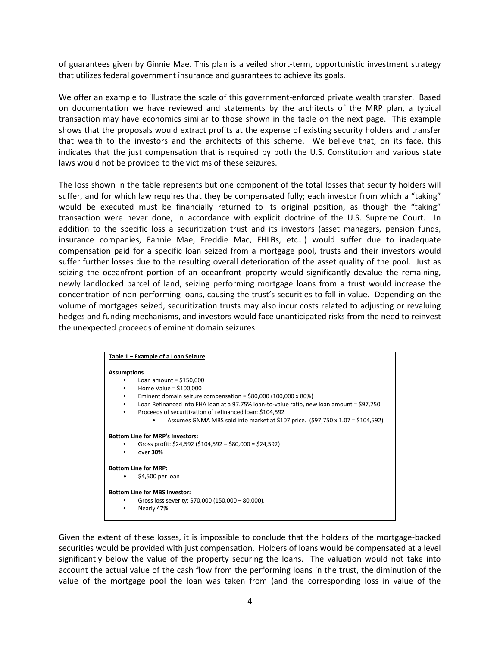of guarantees given by Ginnie Mae. This plan is a veiled short-term, opportunistic investment strategy that utilizes federal government insurance and guarantees to achieve its goals.

We offer an example to illustrate the scale of this government-enforced private wealth transfer. Based on documentation we have reviewed and statements by the architects of the MRP plan, a typical transaction may have economics similar to those shown in the table on the next page. This example shows that the proposals would extract profits at the expense of existing security holders and transfer that wealth to the investors and the architects of this scheme. We believe that, on its face, this indicates that the just compensation that is required by both the U.S. Constitution and various state laws would not be provided to the victims of these seizures.

The loss shown in the table represents but one component of the total losses that security holders will suffer, and for which law requires that they be compensated fully; each investor from which a "taking" would be executed must be financially returned to its original position, as though the "taking" transaction were never done, in accordance with explicit doctrine of the U.S. Supreme Court. In addition to the specific loss a securitization trust and its investors (asset managers, pension funds, insurance companies, Fannie Mae, Freddie Mac, FHLBs, etc…) would suffer due to inadequate compensation paid for a specific loan seized from a mortgage pool, trusts and their investors would suffer further losses due to the resulting overall deterioration of the asset quality of the pool. Just as seizing the oceanfront portion of an oceanfront property would significantly devalue the remaining, newly landlocked parcel of land, seizing performing mortgage loans from a trust would increase the concentration of non-performing loans, causing the trust's securities to fall in value. Depending on the volume of mortgages seized, securitization trusts may also incur costs related to adjusting or revaluing hedges and funding mechanisms, and investors would face unanticipated risks from the need to reinvest the unexpected proceeds of eminent domain seizures.

| Table 1 - Example of a Loan Seizure                                                                                                                                                                                                                                                                   |  |
|-------------------------------------------------------------------------------------------------------------------------------------------------------------------------------------------------------------------------------------------------------------------------------------------------------|--|
| <b>Assumptions</b><br>Loan amount = $$150,000$<br>Home Value = $$100,000$<br>Eminent domain seizure compensation = $$80,000$ (100,000 x 80%)<br>Loan Refinanced into FHA loan at a 97.75% loan-to-value ratio, new loan amount = \$97,750<br>Proceeds of securitization of refinanced loan: \$104,592 |  |
| Assumes GNMA MBS sold into market at \$107 price. $(597,750 \times 1.07 = $104,592)$                                                                                                                                                                                                                  |  |
| <b>Bottom Line for MRP's Investors:</b><br>Gross profit: \$24,592 (\$104,592 – \$80,000 = \$24,592)<br>over 30%                                                                                                                                                                                       |  |
| <b>Bottom Line for MRP:</b>                                                                                                                                                                                                                                                                           |  |
| \$4,500 per loan                                                                                                                                                                                                                                                                                      |  |
| <b>Bottom Line for MBS Investor:</b>                                                                                                                                                                                                                                                                  |  |
| Gross loss severity: \$70,000 (150,000 - 80,000).<br>Nearly 47%                                                                                                                                                                                                                                       |  |

Given the extent of these losses, it is impossible to conclude that the holders of the mortgage-backed securities would be provided with just compensation. Holders of loans would be compensated at a level significantly below the value of the property securing the loans. The valuation would not take into account the actual value of the cash flow from the performing loans in the trust, the diminution of the value of the mortgage pool the loan was taken from (and the corresponding loss in value of the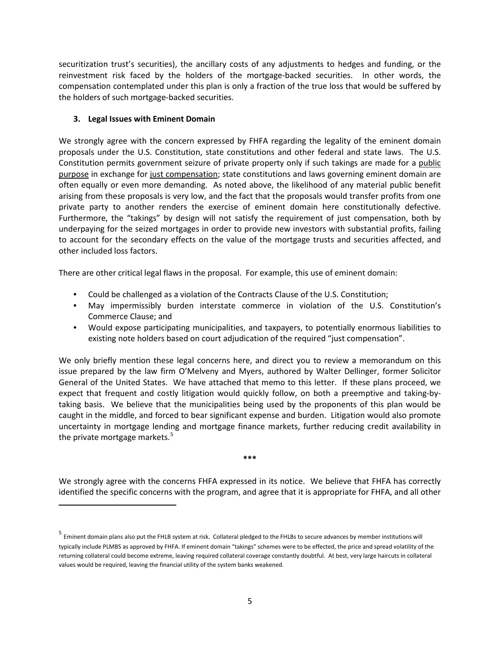securitization trust's securities), the ancillary costs of any adjustments to hedges and funding, or the reinvestment risk faced by the holders of the mortgage-backed securities. In other words, the compensation contemplated under this plan is only a fraction of the true loss that would be suffered by the holders of such mortgage-backed securities.

#### **3. Legal Issues with Eminent Domain**

ı

We strongly agree with the concern expressed by FHFA regarding the legality of the eminent domain proposals under the U.S. Constitution, state constitutions and other federal and state laws. The U.S. Constitution permits government seizure of private property only if such takings are made for a public purpose in exchange for just compensation; state constitutions and laws governing eminent domain are often equally or even more demanding. As noted above, the likelihood of any material public benefit arising from these proposals is very low, and the fact that the proposals would transfer profits from one private party to another renders the exercise of eminent domain here constitutionally defective. Furthermore, the "takings" by design will not satisfy the requirement of just compensation, both by underpaying for the seized mortgages in order to provide new investors with substantial profits, failing to account for the secondary effects on the value of the mortgage trusts and securities affected, and other included loss factors.

There are other critical legal flaws in the proposal. For example, this use of eminent domain:

- Could be challenged as a violation of the Contracts Clause of the U.S. Constitution;
- May impermissibly burden interstate commerce in violation of the U.S. Constitution's Commerce Clause; and
- Would expose participating municipalities, and taxpayers, to potentially enormous liabilities to existing note holders based on court adjudication of the required "just compensation".

We only briefly mention these legal concerns here, and direct you to review a memorandum on this issue prepared by the law firm O'Melveny and Myers, authored by Walter Dellinger, former Solicitor General of the United States. We have attached that memo to this letter. If these plans proceed, we expect that frequent and costly litigation would quickly follow, on both a preemptive and taking-bytaking basis. We believe that the municipalities being used by the proponents of this plan would be caught in the middle, and forced to bear significant expense and burden. Litigation would also promote uncertainty in mortgage lending and mortgage finance markets, further reducing credit availability in the private mortgage markets. $5$ 

**\*\*\***

We strongly agree with the concerns FHFA expressed in its notice. We believe that FHFA has correctly identified the specific concerns with the program, and agree that it is appropriate for FHFA, and all other

<span id="page-4-0"></span><sup>5</sup> Eminent domain plans also put the FHLB system at risk. Collateral pledged to the FHLBs to secure advances by member institutions will typically include PLMBS as approved by FHFA. If eminent domain "takings" schemes were to be effected, the price and spread volatility of the returning collateral could become extreme, leaving required collateral coverage constantly doubtful. At best, very large haircuts in collateral values would be required, leaving the financial utility of the system banks weakened.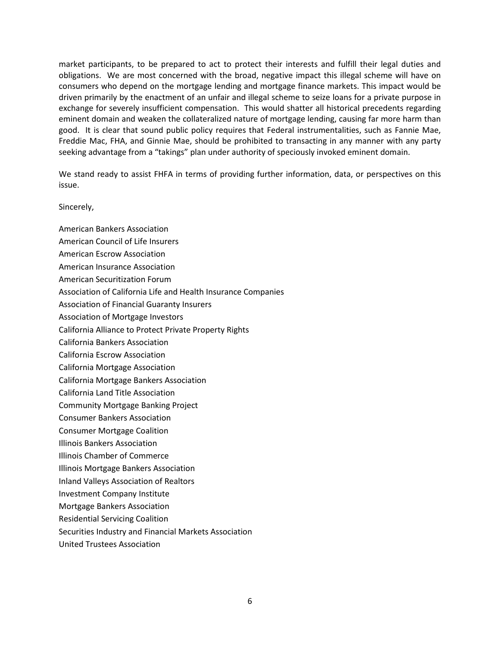market participants, to be prepared to act to protect their interests and fulfill their legal duties and obligations. We are most concerned with the broad, negative impact this illegal scheme will have on consumers who depend on the mortgage lending and mortgage finance markets. This impact would be driven primarily by the enactment of an unfair and illegal scheme to seize loans for a private purpose in exchange for severely insufficient compensation. This would shatter all historical precedents regarding eminent domain and weaken the collateralized nature of mortgage lending, causing far more harm than good. It is clear that sound public policy requires that Federal instrumentalities, such as Fannie Mae, Freddie Mac, FHA, and Ginnie Mae, should be prohibited to transacting in any manner with any party seeking advantage from a "takings" plan under authority of speciously invoked eminent domain.

We stand ready to assist FHFA in terms of providing further information, data, or perspectives on this issue.

#### Sincerely,

- American Bankers Association
- American Council of Life Insurers
- American Escrow Association
- American Insurance Association
- American Securitization Forum
- Association of California Life and Health Insurance Companies
- Association of Financial Guaranty Insurers
- Association of Mortgage Investors
- California Alliance to Protect Private Property Rights
- California Bankers Association
- California Escrow Association
- California Mortgage Association
- California Mortgage Bankers Association
- California Land Title Association
- Community Mortgage Banking Project
- Consumer Bankers Association
- Consumer Mortgage Coalition
- Illinois Bankers Association
- Illinois Chamber of Commerce
- Illinois Mortgage Bankers Association
- Inland Valleys Association of Realtors
- Investment Company Institute
- Mortgage Bankers Association
- Residential Servicing Coalition
- Securities Industry and Financial Markets Association
- United Trustees Association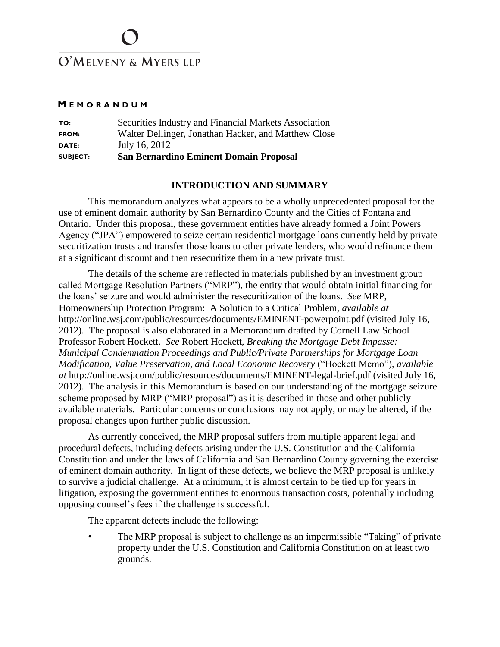# O'MELVENY & MYERS LLP

#### **M E M O R A N D U M**

| TO:             | Securities Industry and Financial Markets Association |
|-----------------|-------------------------------------------------------|
| <b>FROM:</b>    | Walter Dellinger, Jonathan Hacker, and Matthew Close  |
| DATE:           | July 16, 2012                                         |
| <b>SUBJECT:</b> | <b>San Bernardino Eminent Domain Proposal</b>         |

#### **INTRODUCTION AND SUMMARY**

This memorandum analyzes what appears to be a wholly unprecedented proposal for the use of eminent domain authority by San Bernardino County and the Cities of Fontana and Ontario. Under this proposal, these government entities have already formed a Joint Powers Agency ("JPA") empowered to seize certain residential mortgage loans currently held by private securitization trusts and transfer those loans to other private lenders, who would refinance them at a significant discount and then resecuritize them in a new private trust.

The details of the scheme are reflected in materials published by an investment group called Mortgage Resolution Partners ("MRP"), the entity that would obtain initial financing for the loans' seizure and would administer the resecuritization of the loans. *See* MRP, Homeownership Protection Program: A Solution to a Critical Problem, *available at*  http://online.wsj.com/public/resources/documents/EMINENT-powerpoint.pdf (visited July 16, 2012). The proposal is also elaborated in a Memorandum drafted by Cornell Law School Professor Robert Hockett. *See* Robert Hockett, *Breaking the Mortgage Debt Impasse: Municipal Condemnation Proceedings and Public/Private Partnerships for Mortgage Loan Modification, Value Preservation, and Local Economic Recovery* ("Hockett Memo"), *available at* http://online.wsj.com/public/resources/documents/EMINENT-legal-brief.pdf (visited July 16, 2012). The analysis in this Memorandum is based on our understanding of the mortgage seizure scheme proposed by MRP ("MRP proposal") as it is described in those and other publicly available materials. Particular concerns or conclusions may not apply, or may be altered, if the proposal changes upon further public discussion.

As currently conceived, the MRP proposal suffers from multiple apparent legal and procedural defects, including defects arising under the U.S. Constitution and the California Constitution and under the laws of California and San Bernardino County governing the exercise of eminent domain authority. In light of these defects, we believe the MRP proposal is unlikely to survive a judicial challenge. At a minimum, it is almost certain to be tied up for years in litigation, exposing the government entities to enormous transaction costs, potentially including opposing counsel's fees if the challenge is successful.

The apparent defects include the following:

• The MRP proposal is subject to challenge as an impermissible "Taking" of private property under the U.S. Constitution and California Constitution on at least two grounds.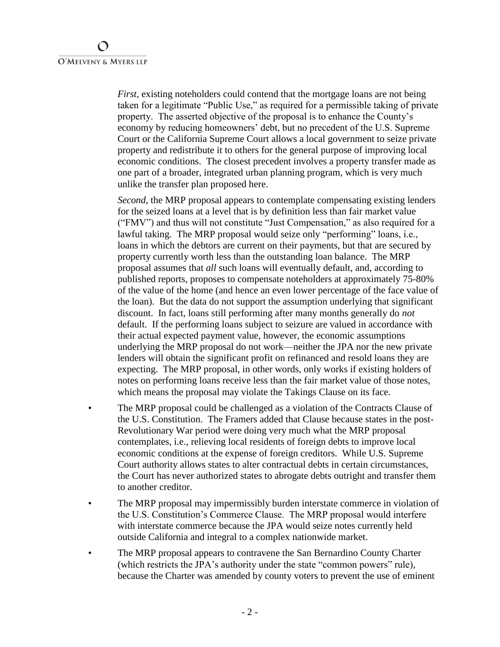*First*, existing noteholders could contend that the mortgage loans are not being taken for a legitimate "Public Use," as required for a permissible taking of private property. The asserted objective of the proposal is to enhance the County's economy by reducing homeowners' debt, but no precedent of the U.S. Supreme Court or the California Supreme Court allows a local government to seize private property and redistribute it to others for the general purpose of improving local economic conditions. The closest precedent involves a property transfer made as one part of a broader, integrated urban planning program, which is very much unlike the transfer plan proposed here.

*Second*, the MRP proposal appears to contemplate compensating existing lenders for the seized loans at a level that is by definition less than fair market value ("FMV") and thus will not constitute "Just Compensation," as also required for a lawful taking. The MRP proposal would seize only "performing" loans, i.e., loans in which the debtors are current on their payments, but that are secured by property currently worth less than the outstanding loan balance. The MRP proposal assumes that *all* such loans will eventually default, and, according to published reports, proposes to compensate noteholders at approximately 75-80% of the value of the home (and hence an even lower percentage of the face value of the loan). But the data do not support the assumption underlying that significant discount. In fact, loans still performing after many months generally do *not* default. If the performing loans subject to seizure are valued in accordance with their actual expected payment value, however, the economic assumptions underlying the MRP proposal do not work—neither the JPA nor the new private lenders will obtain the significant profit on refinanced and resold loans they are expecting. The MRP proposal, in other words, only works if existing holders of notes on performing loans receive less than the fair market value of those notes, which means the proposal may violate the Takings Clause on its face.

- The MRP proposal could be challenged as a violation of the Contracts Clause of the U.S. Constitution. The Framers added that Clause because states in the post-Revolutionary War period were doing very much what the MRP proposal contemplates, i.e., relieving local residents of foreign debts to improve local economic conditions at the expense of foreign creditors. While U.S. Supreme Court authority allows states to alter contractual debts in certain circumstances, the Court has never authorized states to abrogate debts outright and transfer them to another creditor.
- The MRP proposal may impermissibly burden interstate commerce in violation of the U.S. Constitution's Commerce Clause. The MRP proposal would interfere with interstate commerce because the JPA would seize notes currently held outside California and integral to a complex nationwide market.
- The MRP proposal appears to contravene the San Bernardino County Charter (which restricts the JPA's authority under the state "common powers" rule), because the Charter was amended by county voters to prevent the use of eminent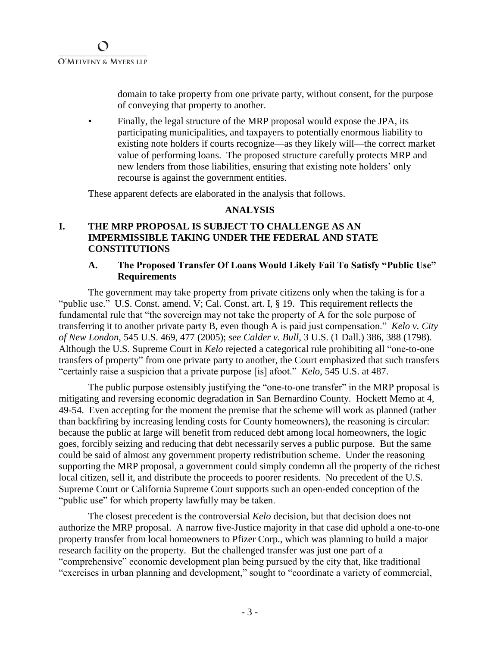domain to take property from one private party, without consent, for the purpose of conveying that property to another.

• Finally, the legal structure of the MRP proposal would expose the JPA, its participating municipalities, and taxpayers to potentially enormous liability to existing note holders if courts recognize—as they likely will—the correct market value of performing loans. The proposed structure carefully protects MRP and new lenders from those liabilities, ensuring that existing note holders' only recourse is against the government entities.

These apparent defects are elaborated in the analysis that follows.

### **ANALYSIS**

## **I. THE MRP PROPOSAL IS SUBJECT TO CHALLENGE AS AN IMPERMISSIBLE TAKING UNDER THE FEDERAL AND STATE CONSTITUTIONS**

### **A. The Proposed Transfer Of Loans Would Likely Fail To Satisfy "Public Use" Requirements**

The government may take property from private citizens only when the taking is for a "public use." U.S. Const. amend. V; Cal. Const. art. I, § 19. This requirement reflects the fundamental rule that "the sovereign may not take the property of A for the sole purpose of transferring it to another private party B, even though A is paid just compensation." *Kelo v. City of New London*, 545 U.S. 469, 477 (2005); *see Calder v. Bull*, 3 U.S. (1 Dall.) 386, 388 (1798). Although the U.S. Supreme Court in *Kelo* rejected a categorical rule prohibiting all "one-to-one transfers of property" from one private party to another, the Court emphasized that such transfers "certainly raise a suspicion that a private purpose [is] afoot." *Kelo*, 545 U.S. at 487.

The public purpose ostensibly justifying the "one-to-one transfer" in the MRP proposal is mitigating and reversing economic degradation in San Bernardino County. Hockett Memo at 4, 49-54. Even accepting for the moment the premise that the scheme will work as planned (rather than backfiring by increasing lending costs for County homeowners), the reasoning is circular: because the public at large will benefit from reduced debt among local homeowners, the logic goes, forcibly seizing and reducing that debt necessarily serves a public purpose. But the same could be said of almost any government property redistribution scheme. Under the reasoning supporting the MRP proposal, a government could simply condemn all the property of the richest local citizen, sell it, and distribute the proceeds to poorer residents. No precedent of the U.S. Supreme Court or California Supreme Court supports such an open-ended conception of the "public use" for which property lawfully may be taken.

The closest precedent is the controversial *Kelo* decision, but that decision does not authorize the MRP proposal. A narrow five-Justice majority in that case did uphold a one-to-one property transfer from local homeowners to Pfizer Corp., which was planning to build a major research facility on the property. But the challenged transfer was just one part of a "comprehensive" economic development plan being pursued by the city that, like traditional "exercises in urban planning and development," sought to "coordinate a variety of commercial,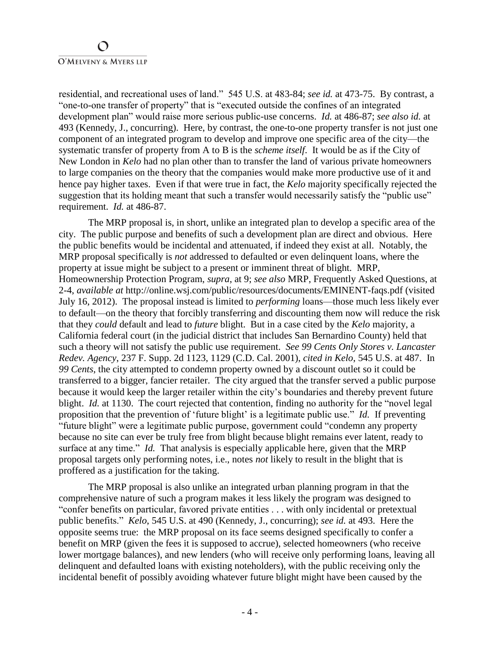residential, and recreational uses of land." 545 U.S. at 483-84; *see id.* at 473-75. By contrast, a "one-to-one transfer of property" that is "executed outside the confines of an integrated development plan" would raise more serious public-use concerns. *Id.* at 486-87; *see also id.* at 493 (Kennedy, J., concurring). Here, by contrast, the one-to-one property transfer is not just one component of an integrated program to develop and improve one specific area of the city—the systematic transfer of property from A to B is the *scheme itself*. It would be as if the City of New London in *Kelo* had no plan other than to transfer the land of various private homeowners to large companies on the theory that the companies would make more productive use of it and hence pay higher taxes. Even if that were true in fact, the *Kelo* majority specifically rejected the suggestion that its holding meant that such a transfer would necessarily satisfy the "public use" requirement. *Id.* at 486-87.

The MRP proposal is, in short, unlike an integrated plan to develop a specific area of the city. The public purpose and benefits of such a development plan are direct and obvious. Here the public benefits would be incidental and attenuated, if indeed they exist at all. Notably, the MRP proposal specifically is *not* addressed to defaulted or even delinquent loans, where the property at issue might be subject to a present or imminent threat of blight. MRP, Homeownership Protection Program, *supra*, at 9; *see also* MRP, Frequently Asked Questions, at 2-4, *available at* http://online.wsj.com/public/resources/documents/EMINENT-faqs.pdf (visited July 16, 2012). The proposal instead is limited to *performing* loans—those much less likely ever to default—on the theory that forcibly transferring and discounting them now will reduce the risk that they *could* default and lead to *future* blight. But in a case cited by the *Kelo* majority, a California federal court (in the judicial district that includes San Bernardino County) held that such a theory will not satisfy the public use requirement. *See 99 Cents Only Stores v. Lancaster Redev. Agency*, 237 F. Supp. 2d 1123, 1129 (C.D. Cal. 2001), *cited in Kelo*, 545 U.S. at 487. In *99 Cents*, the city attempted to condemn property owned by a discount outlet so it could be transferred to a bigger, fancier retailer. The city argued that the transfer served a public purpose because it would keep the larger retailer within the city's boundaries and thereby prevent future blight. *Id.* at 1130. The court rejected that contention, finding no authority for the "novel legal" proposition that the prevention of 'future blight' is a legitimate public use." *Id.* If preventing "future blight" were a legitimate public purpose, government could "condemn any property because no site can ever be truly free from blight because blight remains ever latent, ready to surface at any time." *Id.* That analysis is especially applicable here, given that the MRP proposal targets only performing notes, i.e., notes *not* likely to result in the blight that is proffered as a justification for the taking.

The MRP proposal is also unlike an integrated urban planning program in that the comprehensive nature of such a program makes it less likely the program was designed to "confer benefits on particular, favored private entities . . . with only incidental or pretextual public benefits." *Kelo*, 545 U.S. at 490 (Kennedy, J., concurring); *see id.* at 493. Here the opposite seems true: the MRP proposal on its face seems designed specifically to confer a benefit on MRP (given the fees it is supposed to accrue), selected homeowners (who receive lower mortgage balances), and new lenders (who will receive only performing loans, leaving all delinquent and defaulted loans with existing noteholders), with the public receiving only the incidental benefit of possibly avoiding whatever future blight might have been caused by the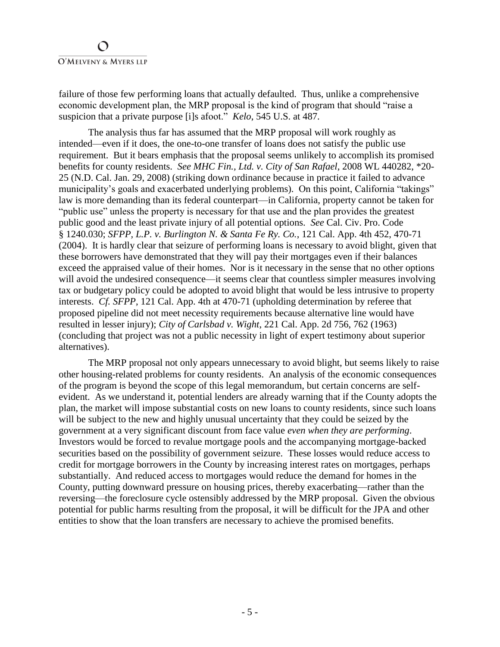failure of those few performing loans that actually defaulted. Thus, unlike a comprehensive economic development plan, the MRP proposal is the kind of program that should "raise a suspicion that a private purpose [i]s afoot." *Kelo*, 545 U.S. at 487.

The analysis thus far has assumed that the MRP proposal will work roughly as intended—even if it does, the one-to-one transfer of loans does not satisfy the public use requirement. But it bears emphasis that the proposal seems unlikely to accomplish its promised benefits for county residents. *See MHC Fin., Ltd. v. City of San Rafael*, 2008 WL 440282, \*20- 25 (N.D. Cal. Jan. 29, 2008) (striking down ordinance because in practice it failed to advance municipality's goals and exacerbated underlying problems). On this point, California "takings" law is more demanding than its federal counterpart—in California, property cannot be taken for "public use" unless the property is necessary for that use and the plan provides the greatest public good and the least private injury of all potential options. *See* Cal. Civ. Pro. Code § 1240.030; *SFPP, L.P. v. Burlington N. & Santa Fe Ry. Co.*, 121 Cal. App. 4th 452, 470-71 (2004). It is hardly clear that seizure of performing loans is necessary to avoid blight, given that these borrowers have demonstrated that they will pay their mortgages even if their balances exceed the appraised value of their homes. Nor is it necessary in the sense that no other options will avoid the undesired consequence—it seems clear that countless simpler measures involving tax or budgetary policy could be adopted to avoid blight that would be less intrusive to property interests. *Cf. SFPP*, 121 Cal. App. 4th at 470-71 (upholding determination by referee that proposed pipeline did not meet necessity requirements because alternative line would have resulted in lesser injury); *City of Carlsbad v. Wight*, 221 Cal. App. 2d 756, 762 (1963) (concluding that project was not a public necessity in light of expert testimony about superior alternatives).

The MRP proposal not only appears unnecessary to avoid blight, but seems likely to raise other housing-related problems for county residents. An analysis of the economic consequences of the program is beyond the scope of this legal memorandum, but certain concerns are selfevident. As we understand it, potential lenders are already warning that if the County adopts the plan, the market will impose substantial costs on new loans to county residents, since such loans will be subject to the new and highly unusual uncertainty that they could be seized by the government at a very significant discount from face value *even when they are performing*. Investors would be forced to revalue mortgage pools and the accompanying mortgage-backed securities based on the possibility of government seizure. These losses would reduce access to credit for mortgage borrowers in the County by increasing interest rates on mortgages, perhaps substantially. And reduced access to mortgages would reduce the demand for homes in the County, putting downward pressure on housing prices, thereby exacerbating—rather than the reversing—the foreclosure cycle ostensibly addressed by the MRP proposal. Given the obvious potential for public harms resulting from the proposal, it will be difficult for the JPA and other entities to show that the loan transfers are necessary to achieve the promised benefits.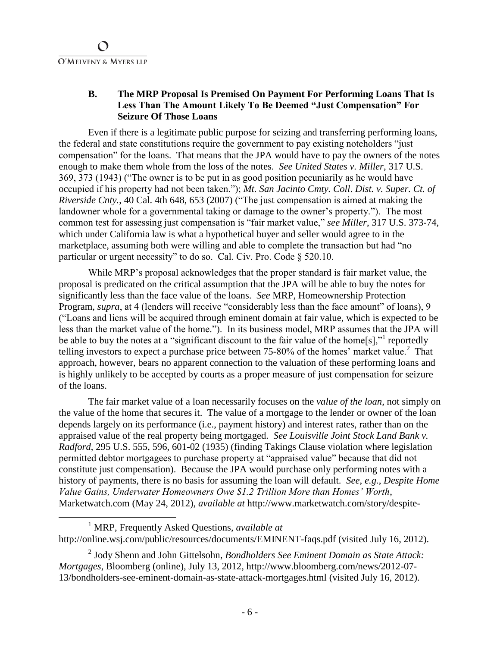## **B. The MRP Proposal Is Premised On Payment For Performing Loans That Is Less Than The Amount Likely To Be Deemed "Just Compensation" For Seizure Of Those Loans**

Even if there is a legitimate public purpose for seizing and transferring performing loans, the federal and state constitutions require the government to pay existing noteholders "just compensation" for the loans. That means that the JPA would have to pay the owners of the notes enough to make them whole from the loss of the notes. *See United States v. Miller*, 317 U.S. 369, 373 (1943) ("The owner is to be put in as good position pecuniarily as he would have occupied if his property had not been taken."); *Mt. San Jacinto Cmty. Coll*. *Dist. v. Super. Ct. of Riverside Cnty.*, 40 Cal. 4th 648, 653 (2007) ("The just compensation is aimed at making the landowner whole for a governmental taking or damage to the owner's property."). The most common test for assessing just compensation is "fair market value," *see Miller*, 317 U.S. 373-74, which under California law is what a hypothetical buyer and seller would agree to in the marketplace, assuming both were willing and able to complete the transaction but had "no particular or urgent necessity" to do so. Cal. Civ. Pro. Code § 520.10.

While MRP's proposal acknowledges that the proper standard is fair market value, the proposal is predicated on the critical assumption that the JPA will be able to buy the notes for significantly less than the face value of the loans. *See* MRP, Homeownership Protection Program, *supra*, at 4 (lenders will receive "considerably less than the face amount" of loans), 9 ("Loans and liens will be acquired through eminent domain at fair value, which is expected to be less than the market value of the home."). In its business model, MRP assumes that the JPA will be able to buy the notes at a "significant discount to the fair value of the home[s]," reportedly telling investors to expect a purchase price between 75-80% of the homes' market value.<sup>2</sup> That approach, however, bears no apparent connection to the valuation of these performing loans and is highly unlikely to be accepted by courts as a proper measure of just compensation for seizure of the loans.

The fair market value of a loan necessarily focuses on the *value of the loan*, not simply on the value of the home that secures it. The value of a mortgage to the lender or owner of the loan depends largely on its performance (i.e., payment history) and interest rates, rather than on the appraised value of the real property being mortgaged. *See Louisville Joint Stock Land Bank v. Radford*, 295 U.S. 555, 596, 601-02 (1935) (finding Takings Clause violation where legislation permitted debtor mortgagees to purchase property at "appraised value" because that did not constitute just compensation). Because the JPA would purchase only performing notes with a history of payments, there is no basis for assuming the loan will default. *See*, *e.g.*, *Despite Home Value Gains, Underwater Homeowners Owe \$1.2 Trillion More than Homes' Worth*, Marketwatch.com (May 24, 2012), *available at* http://www.marketwatch.com/story/despite-

<sup>1</sup> MRP, Frequently Asked Questions, *available at*  http://online.wsj.com/public/resources/documents/EMINENT-faqs.pdf (visited July 16, 2012).

<sup>2</sup> Jody Shenn and John Gittelsohn, *Bondholders See Eminent Domain as State Attack: Mortgages*, Bloomberg (online), July 13, 2012, http://www.bloomberg.com/news/2012-07- 13/bondholders-see-eminent-domain-as-state-attack-mortgages.html (visited July 16, 2012).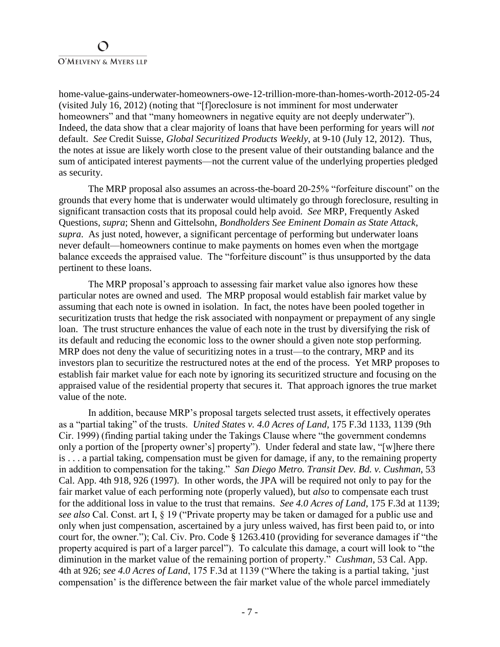home-value-gains-underwater-homeowners-owe-12-trillion-more-than-homes-worth-2012-05-24 (visited July 16, 2012) (noting that "[f]oreclosure is not imminent for most underwater homeowners" and that "many homeowners in negative equity are not deeply underwater"). Indeed, the data show that a clear majority of loans that have been performing for years will *not* default. *See* Credit Suisse, *Global Securitized Products Weekly*, at 9-10 (July 12, 2012). Thus, the notes at issue are likely worth close to the present value of their outstanding balance and the sum of anticipated interest payments—not the current value of the underlying properties pledged as security.

The MRP proposal also assumes an across-the-board 20-25% "forfeiture discount" on the grounds that every home that is underwater would ultimately go through foreclosure, resulting in significant transaction costs that its proposal could help avoid. *See* MRP, Frequently Asked Questions, *supra*; Shenn and Gittelsohn, *Bondholders See Eminent Domain as State Attack*, *supra*. As just noted, however, a significant percentage of performing but underwater loans never default—homeowners continue to make payments on homes even when the mortgage balance exceeds the appraised value. The "forfeiture discount" is thus unsupported by the data pertinent to these loans.

The MRP proposal's approach to assessing fair market value also ignores how these particular notes are owned and used. The MRP proposal would establish fair market value by assuming that each note is owned in isolation. In fact, the notes have been pooled together in securitization trusts that hedge the risk associated with nonpayment or prepayment of any single loan. The trust structure enhances the value of each note in the trust by diversifying the risk of its default and reducing the economic loss to the owner should a given note stop performing. MRP does not deny the value of securitizing notes in a trust—to the contrary, MRP and its investors plan to securitize the restructured notes at the end of the process. Yet MRP proposes to establish fair market value for each note by ignoring its securitized structure and focusing on the appraised value of the residential property that secures it. That approach ignores the true market value of the note.

In addition, because MRP's proposal targets selected trust assets, it effectively operates as a "partial taking" of the trusts. *United States v. 4.0 Acres of Land*, 175 F.3d 1133, 1139 (9th Cir. 1999) (finding partial taking under the Takings Clause where "the government condemns only a portion of the [property owner's] property"). Under federal and state law, "[w]here there is . . . a partial taking, compensation must be given for damage, if any, to the remaining property in addition to compensation for the taking." *San Diego Metro. Transit Dev. Bd. v. Cushman*, 53 Cal. App. 4th 918, 926 (1997). In other words, the JPA will be required not only to pay for the fair market value of each performing note (properly valued), but *also* to compensate each trust for the additional loss in value to the trust that remains. *See 4.0 Acres of Land*, 175 F.3d at 1139; *see also* Cal. Const. art I, § 19 ("Private property may be taken or damaged for a public use and only when just compensation, ascertained by a jury unless waived, has first been paid to, or into court for, the owner."); Cal. Civ. Pro. Code § 1263.410 (providing for severance damages if "the property acquired is part of a larger parcel"). To calculate this damage, a court will look to "the diminution in the market value of the remaining portion of property.<sup>7</sup> *Cushman*, 53 Cal. App. 4th at 926; *see 4.0 Acres of Land*, 175 F.3d at 1139 ("Where the taking is a partial taking, 'just compensation' is the difference between the fair market value of the whole parcel immediately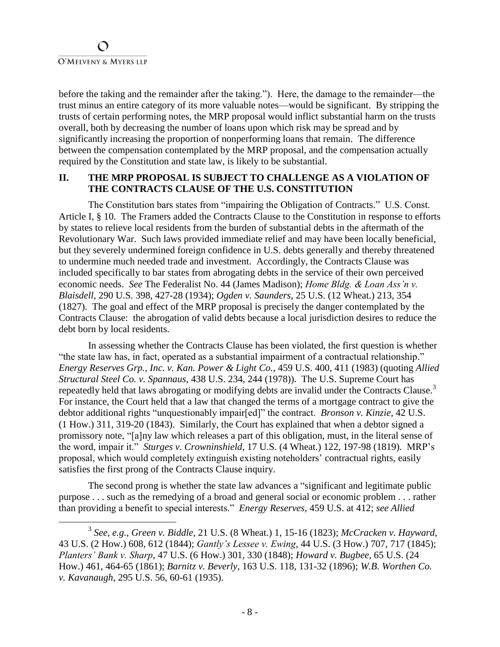before the taking and the remainder after the taking."). Here, the damage to the remainder—the trust minus an entire category of its more valuable notes—would be significant. By stripping the trusts of certain performing notes, the MRP proposal would inflict substantial harm on the trusts overall, both by decreasing the number of loans upon which risk may be spread and by significantly increasing the proportion of nonperforming loans that remain. The difference between the compensation contemplated by the MRP proposal, and the compensation actually required by the Constitution and state law, is likely to be substantial.

### **II. THE MRP PROPOSAL IS SUBJECT TO CHALLENGE AS A VIOLATION OF THE CONTRACTS CLAUSE OF THE U.S. CONSTITUTION**

The Constitution bars states from "impairing the Obligation of Contracts." U.S. Const. Article I, § 10. The Framers added the Contracts Clause to the Constitution in response to efforts by states to relieve local residents from the burden of substantial debts in the aftermath of the Revolutionary War. Such laws provided immediate relief and may have been locally beneficial, but they severely undermined foreign confidence in U.S. debts generally and thereby threatened to undermine much needed trade and investment. Accordingly, the Contracts Clause was included specifically to bar states from abrogating debts in the service of their own perceived economic needs. *See* The Federalist No. 44 (James Madison); *Home Bldg. & Loan Ass'n v. Blaisdell*, 290 U.S. 398, 427-28 (1934); *Ogden v. Saunders*, 25 U.S. (12 Wheat.) 213, 354 (1827). The goal and effect of the MRP proposal is precisely the danger contemplated by the Contracts Clause: the abrogation of valid debts because a local jurisdiction desires to reduce the debt born by local residents.

In assessing whether the Contracts Clause has been violated, the first question is whether "the state law has, in fact, operated as a substantial impairment of a contractual relationship." *Energy Reserves Grp., Inc. v. Kan. Power & Light Co.*, 459 U.S. 400, 411 (1983) (quoting *Allied Structural Steel Co. v. Spannaus*, 438 U.S. 234, 244 (1978)). The U.S. Supreme Court has repeatedly held that laws abrogating or modifying debts are invalid under the Contracts Clause.<sup>3</sup> For instance, the Court held that a law that changed the terms of a mortgage contract to give the debtor additional rights "unquestionably impair[ed]" the contract. *Bronson v. Kinzie*, 42 U.S. (1 How.) 311, 319-20 (1843). Similarly, the Court has explained that when a debtor signed a promissory note, "[a]ny law which releases a part of this obligation, must, in the literal sense of the word, impair it." *Sturges v. Crowninshield*, 17 U.S. (4 Wheat.) 122, 197-98 (1819). MRP's proposal, which would completely extinguish existing noteholders' contractual rights, easily satisfies the first prong of the Contracts Clause inquiry.

The second prong is whether the state law advances a "significant and legitimate public purpose . . . such as the remedying of a broad and general social or economic problem . . . rather than providing a benefit to special interests." *Energy Reserves*, 459 U.S. at 412; *see Allied* 

<sup>3</sup> *See*, *e.g.*, *Green v. Biddle*, 21 U.S. (8 Wheat.) 1, 15-16 (1823); *McCracken v. Hayward*, 43 U.S. (2 How.) 608, 612 (1844); *Gantly's Lessee v. Ewing*, 44 U.S. (3 How.) 707, 717 (1845); *Planters' Bank v. Sharp*, 47 U.S. (6 How.) 301, 330 (1848); *Howard v. Bugbee*, 65 U.S. (24 How.) 461, 464-65 (1861); *Barnitz v. Beverly*, 163 U.S. 118, 131-32 (1896); *W.B. Worthen Co. v. Kavanaugh*, 295 U.S. 56, 60-61 (1935).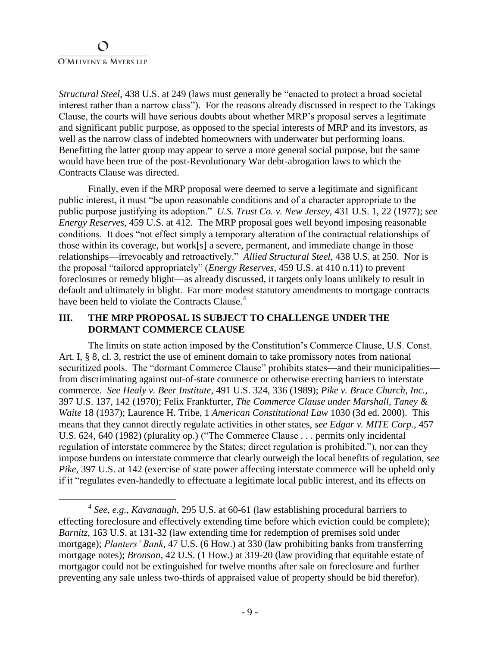*Structural Steel*, 438 U.S. at 249 (laws must generally be "enacted to protect a broad societal interest rather than a narrow class"). For the reasons already discussed in respect to the Takings Clause, the courts will have serious doubts about whether MRP's proposal serves a legitimate and significant public purpose, as opposed to the special interests of MRP and its investors, as well as the narrow class of indebted homeowners with underwater but performing loans. Benefitting the latter group may appear to serve a more general social purpose, but the same would have been true of the post-Revolutionary War debt-abrogation laws to which the Contracts Clause was directed.

Finally, even if the MRP proposal were deemed to serve a legitimate and significant public interest, it must "be upon reasonable conditions and of a character appropriate to the public purpose justifying its adoption." *U.S. Trust Co. v. New Jersey*, 431 U.S. 1, 22 (1977); *see Energy Reserves*, 459 U.S. at 412. The MRP proposal goes well beyond imposing reasonable conditions. It does "not effect simply a temporary alteration of the contractual relationships of those within its coverage, but work[s] a severe, permanent, and immediate change in those relationships—irrevocably and retroactively." *Allied Structural Steel*, 438 U.S. at 250. Nor is the proposal "tailored appropriately" (*Energy Reserves*, 459 U.S. at 410 n.11) to prevent foreclosures or remedy blight—as already discussed, it targets only loans unlikely to result in default and ultimately in blight. Far more modest statutory amendments to mortgage contracts have been held to violate the Contracts Clause.<sup>4</sup>

## **III. THE MRP PROPOSAL IS SUBJECT TO CHALLENGE UNDER THE DORMANT COMMERCE CLAUSE**

The limits on state action imposed by the Constitution's Commerce Clause, U.S. Const. Art. I, § 8, cl. 3, restrict the use of eminent domain to take promissory notes from national securitized pools. The "dormant Commerce Clause" prohibits states—and their municipalities from discriminating against out-of-state commerce or otherwise erecting barriers to interstate commerce. *See Healy v. Beer Institute*, 491 U.S. 324, 336 (1989); *Pike v. Bruce Church, Inc.*, 397 U.S. 137, 142 (1970); Felix Frankfurter, *The Commerce Clause under Marshall, Taney & Waite* 18 (1937); Laurence H. Tribe, 1 *American Constitutional Law* 1030 (3d ed. 2000). This means that they cannot directly regulate activities in other states, *see Edgar v. MITE Corp.*, 457 U.S. 624, 640 (1982) (plurality op.) ("The Commerce Clause . . . permits only incidental regulation of interstate commerce by the States; direct regulation is prohibited."), nor can they impose burdens on interstate commerce that clearly outweigh the local benefits of regulation, *see Pike*, 397 U.S. at 142 (exercise of state power affecting interstate commerce will be upheld only if it "regulates even-handedly to effectuate a legitimate local public interest, and its effects on

<sup>4</sup> *See*, *e.g.*, *Kavanaugh*, 295 U.S. at 60-61 (law establishing procedural barriers to effecting foreclosure and effectively extending time before which eviction could be complete); *Barnitz*, 163 U.S. at 131-32 (law extending time for redemption of premises sold under mortgage); *Planters' Bank*, 47 U.S. (6 How.) at 330 (law prohibiting banks from transferring mortgage notes); *Bronson*, 42 U.S. (1 How.) at 319-20 (law providing that equitable estate of mortgagor could not be extinguished for twelve months after sale on foreclosure and further preventing any sale unless two-thirds of appraised value of property should be bid therefor).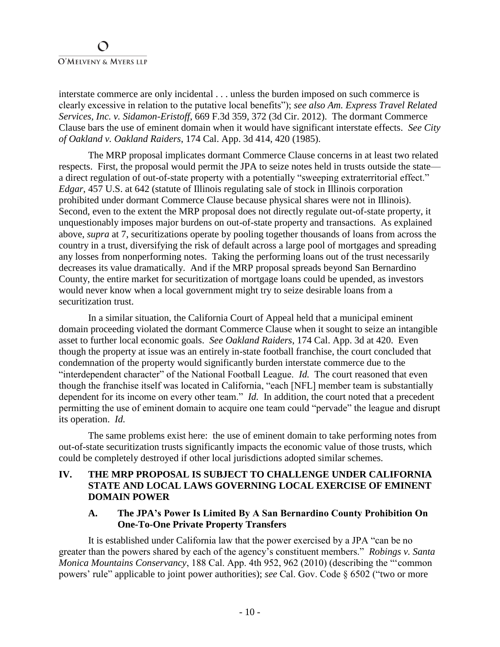## $\Omega$ O'MELVENY & MYERS LLP

interstate commerce are only incidental . . . unless the burden imposed on such commerce is clearly excessive in relation to the putative local benefits"); *see also Am. Express Travel Related Services, Inc. v. Sidamon-Eristoff*, 669 F.3d 359, 372 (3d Cir. 2012). The dormant Commerce Clause bars the use of eminent domain when it would have significant interstate effects. *See City of Oakland v. Oakland Raiders*, 174 Cal. App. 3d 414, 420 (1985).

The MRP proposal implicates dormant Commerce Clause concerns in at least two related respects. First, the proposal would permit the JPA to seize notes held in trusts outside the state a direct regulation of out-of-state property with a potentially "sweeping extraterritorial effect." *Edgar*, 457 U.S. at 642 (statute of Illinois regulating sale of stock in Illinois corporation prohibited under dormant Commerce Clause because physical shares were not in Illinois). Second, even to the extent the MRP proposal does not directly regulate out-of-state property, it unquestionably imposes major burdens on out-of-state property and transactions. As explained above, *supra* at 7, securitizations operate by pooling together thousands of loans from across the country in a trust, diversifying the risk of default across a large pool of mortgages and spreading any losses from nonperforming notes. Taking the performing loans out of the trust necessarily decreases its value dramatically. And if the MRP proposal spreads beyond San Bernardino County, the entire market for securitization of mortgage loans could be upended, as investors would never know when a local government might try to seize desirable loans from a securitization trust.

In a similar situation, the California Court of Appeal held that a municipal eminent domain proceeding violated the dormant Commerce Clause when it sought to seize an intangible asset to further local economic goals. *See Oakland Raiders*, 174 Cal. App. 3d at 420. Even though the property at issue was an entirely in-state football franchise, the court concluded that condemnation of the property would significantly burden interstate commerce due to the "interdependent character" of the National Football League. *Id.* The court reasoned that even though the franchise itself was located in California, "each [NFL] member team is substantially dependent for its income on every other team." *Id.* In addition, the court noted that a precedent permitting the use of eminent domain to acquire one team could "pervade" the league and disrupt its operation. *Id.*

The same problems exist here: the use of eminent domain to take performing notes from out-of-state securitization trusts significantly impacts the economic value of those trusts, which could be completely destroyed if other local jurisdictions adopted similar schemes.

## **IV. THE MRP PROPOSAL IS SUBJECT TO CHALLENGE UNDER CALIFORNIA STATE AND LOCAL LAWS GOVERNING LOCAL EXERCISE OF EMINENT DOMAIN POWER**

### **A. The JPA's Power Is Limited By A San Bernardino County Prohibition On One-To-One Private Property Transfers**

It is established under California law that the power exercised by a JPA "can be no greater than the powers shared by each of the agency's constituent members." *Robings v. Santa Monica Mountains Conservancy*, 188 Cal. App. 4th 952, 962 (2010) (describing the "'common powers' rule" applicable to joint power authorities); *see* Cal. Gov. Code § 6502 ("two or more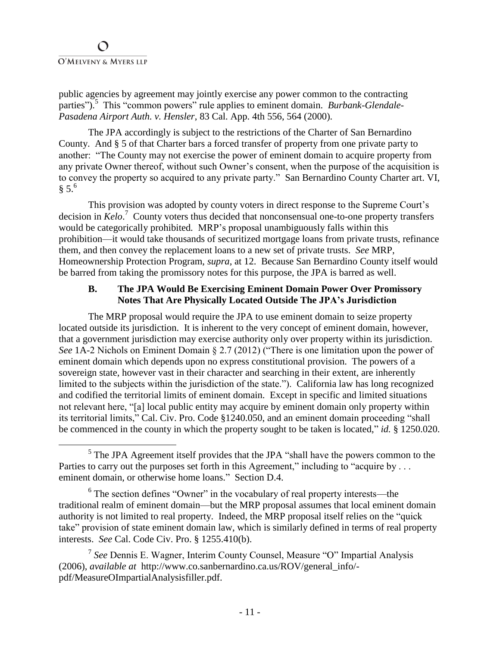public agencies by agreement may jointly exercise any power common to the contracting parties"). 5 This "common powers" rule applies to eminent domain. *Burbank-Glendale-Pasadena Airport Auth. v. Hensler*, 83 Cal. App. 4th 556, 564 (2000).

The JPA accordingly is subject to the restrictions of the Charter of San Bernardino County. And § 5 of that Charter bars a forced transfer of property from one private party to another: "The County may not exercise the power of eminent domain to acquire property from any private Owner thereof, without such Owner's consent, when the purpose of the acquisition is to convey the property so acquired to any private party." San Bernardino County Charter art. VI,  $§$  5.<sup>6</sup>

This provision was adopted by county voters in direct response to the Supreme Court's decision in *Kelo*. 7 County voters thus decided that nonconsensual one-to-one property transfers would be categorically prohibited*.* MRP's proposal unambiguously falls within this prohibition—it would take thousands of securitized mortgage loans from private trusts, refinance them, and then convey the replacement loans to a new set of private trusts. *See* MRP, Homeownership Protection Program, *supra*, at 12. Because San Bernardino County itself would be barred from taking the promissory notes for this purpose, the JPA is barred as well.

### **B. The JPA Would Be Exercising Eminent Domain Power Over Promissory Notes That Are Physically Located Outside The JPA's Jurisdiction**

The MRP proposal would require the JPA to use eminent domain to seize property located outside its jurisdiction. It is inherent to the very concept of eminent domain, however, that a government jurisdiction may exercise authority only over property within its jurisdiction. *See* 1A-2 Nichols on Eminent Domain § 2.7 (2012) ("There is one limitation upon the power of eminent domain which depends upon no express constitutional provision. The powers of a sovereign state, however vast in their character and searching in their extent, are inherently limited to the subjects within the jurisdiction of the state."). California law has long recognized and codified the territorial limits of eminent domain. Except in specific and limited situations not relevant here, "[a] local public entity may acquire by eminent domain only property within its territorial limits," Cal. Civ. Pro. Code §1240.050, and an eminent domain proceeding "shall be commenced in the county in which the property sought to be taken is located," *id.* § 1250.020.

<sup>&</sup>lt;sup>5</sup> The JPA Agreement itself provides that the JPA "shall have the powers common to the Parties to carry out the purposes set forth in this Agreement," including to "acquire by ... eminent domain, or otherwise home loans." Section D.4.

 $6$  The section defines "Owner" in the vocabulary of real property interests—the traditional realm of eminent domain—but the MRP proposal assumes that local eminent domain authority is not limited to real property. Indeed, the MRP proposal itself relies on the "quick take" provision of state eminent domain law, which is similarly defined in terms of real property interests. *See* Cal. Code Civ. Pro. § 1255.410(b).

<sup>7</sup> *See* Dennis E. Wagner, Interim County Counsel, Measure "O" Impartial Analysis (2006), *available at* http://www.co.sanbernardino.ca.us/ROV/general\_info/ pdf/MeasureOImpartialAnalysisfiller.pdf.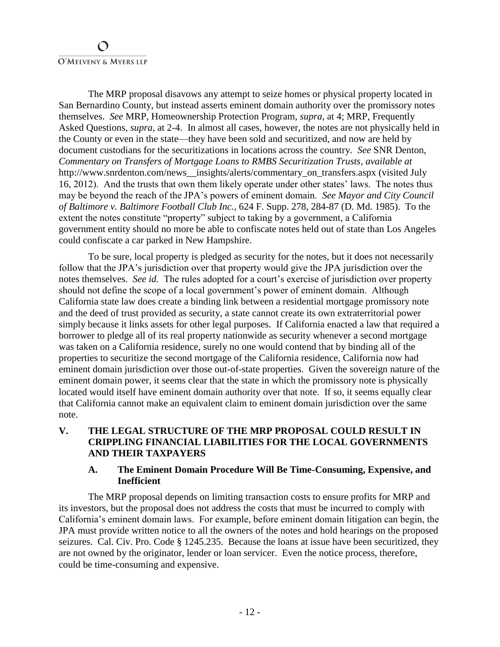The MRP proposal disavows any attempt to seize homes or physical property located in San Bernardino County, but instead asserts eminent domain authority over the promissory notes themselves. *See* MRP, Homeownership Protection Program, *supra*, at 4; MRP, Frequently Asked Questions, *supra*, at 2-4. In almost all cases, however, the notes are not physically held in the County or even in the state—they have been sold and securitized, and now are held by document custodians for the securitizations in locations across the country. *See* SNR Denton, *Commentary on Transfers of Mortgage Loans to RMBS Securitization Trusts*, *available at* http://www.snrdenton.com/news\_\_insights/alerts/commentary\_on\_transfers.aspx (visited July 16, 2012). And the trusts that own them likely operate under other states' laws. The notes thus may be beyond the reach of the JPA's powers of eminent domain. *See Mayor and City Council of Baltimore v. Baltimore Football Club Inc.*, 624 F. Supp. 278, 284-87 (D. Md. 1985). To the extent the notes constitute "property" subject to taking by a government, a California government entity should no more be able to confiscate notes held out of state than Los Angeles could confiscate a car parked in New Hampshire.

To be sure, local property is pledged as security for the notes, but it does not necessarily follow that the JPA's jurisdiction over that property would give the JPA jurisdiction over the notes themselves. *See id.* The rules adopted for a court's exercise of jurisdiction over property should not define the scope of a local government's power of eminent domain. Although California state law does create a binding link between a residential mortgage promissory note and the deed of trust provided as security, a state cannot create its own extraterritorial power simply because it links assets for other legal purposes. If California enacted a law that required a borrower to pledge all of its real property nationwide as security whenever a second mortgage was taken on a California residence, surely no one would contend that by binding all of the properties to securitize the second mortgage of the California residence, California now had eminent domain jurisdiction over those out-of-state properties. Given the sovereign nature of the eminent domain power, it seems clear that the state in which the promissory note is physically located would itself have eminent domain authority over that note. If so, it seems equally clear that California cannot make an equivalent claim to eminent domain jurisdiction over the same note.

**V. THE LEGAL STRUCTURE OF THE MRP PROPOSAL COULD RESULT IN CRIPPLING FINANCIAL LIABILITIES FOR THE LOCAL GOVERNMENTS AND THEIR TAXPAYERS** 

### **A. The Eminent Domain Procedure Will Be Time-Consuming, Expensive, and Inefficient**

The MRP proposal depends on limiting transaction costs to ensure profits for MRP and its investors, but the proposal does not address the costs that must be incurred to comply with California's eminent domain laws. For example, before eminent domain litigation can begin, the JPA must provide written notice to all the owners of the notes and hold hearings on the proposed seizures. Cal. Civ. Pro. Code § 1245.235. Because the loans at issue have been securitized, they are not owned by the originator, lender or loan servicer. Even the notice process, therefore, could be time-consuming and expensive.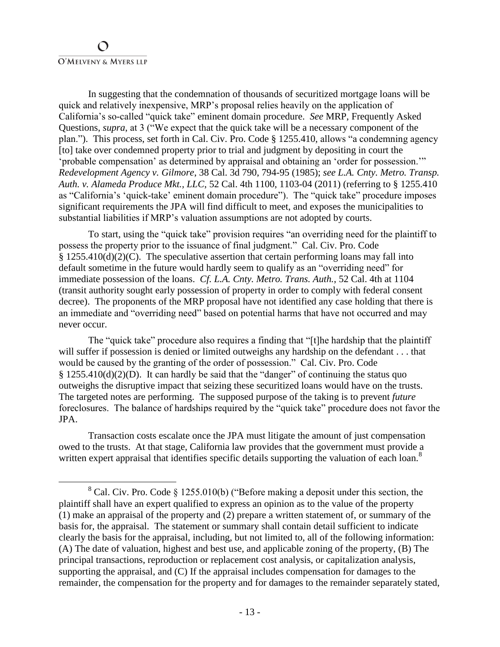In suggesting that the condemnation of thousands of securitized mortgage loans will be quick and relatively inexpensive, MRP's proposal relies heavily on the application of California's so-called "quick take" eminent domain procedure. *See* MRP, Frequently Asked Questions, *supra*, at 3 ("We expect that the quick take will be a necessary component of the plan."). This process, set forth in Cal. Civ. Pro. Code § 1255.410, allows "a condemning agency [to] take over condemned property prior to trial and judgment by depositing in court the 'probable compensation' as determined by appraisal and obtaining an 'order for possession.'" *Redevelopment Agency v. Gilmore*, 38 Cal. 3d 790, 794-95 (1985); *see L.A. Cnty. Metro. Transp. Auth. v. Alameda Produce Mkt., LLC*, 52 Cal. 4th 1100, 1103-04 (2011) (referring to § 1255.410 as "California's 'quick-take' eminent domain procedure"). The "quick take" procedure imposes significant requirements the JPA will find difficult to meet, and exposes the municipalities to substantial liabilities if MRP's valuation assumptions are not adopted by courts.

To start, using the "quick take" provision requires "an overriding need for the plaintiff to possess the property prior to the issuance of final judgment." Cal. Civ. Pro. Code  $§$  1255.410(d)(2)(C). The speculative assertion that certain performing loans may fall into default sometime in the future would hardly seem to qualify as an "overriding need" for immediate possession of the loans. *Cf. L.A. Cnty. Metro. Trans. Auth.*, 52 Cal. 4th at 1104 (transit authority sought early possession of property in order to comply with federal consent decree). The proponents of the MRP proposal have not identified any case holding that there is an immediate and "overriding need" based on potential harms that have not occurred and may never occur.

The "quick take" procedure also requires a finding that "[t]he hardship that the plaintiff will suffer if possession is denied or limited outweighs any hardship on the defendant . . . that would be caused by the granting of the order of possession." Cal. Civ. Pro. Code  $§$  1255.410(d)(2)(D). It can hardly be said that the "danger" of continuing the status quo outweighs the disruptive impact that seizing these securitized loans would have on the trusts. The targeted notes are performing. The supposed purpose of the taking is to prevent *future*  foreclosures. The balance of hardships required by the "quick take" procedure does not favor the JPA.

Transaction costs escalate once the JPA must litigate the amount of just compensation owed to the trusts. At that stage, California law provides that the government must provide a written expert appraisal that identifies specific details supporting the valuation of each loan.<sup>8</sup>

<sup>&</sup>lt;sup>8</sup> Cal. Civ. Pro. Code § 1255.010(b) ("Before making a deposit under this section, the plaintiff shall have an expert qualified to express an opinion as to the value of the property (1) make an appraisal of the property and (2) prepare a written statement of, or summary of the basis for, the appraisal. The statement or summary shall contain detail sufficient to indicate clearly the basis for the appraisal, including, but not limited to, all of the following information: (A) The date of valuation, highest and best use, and applicable zoning of the property, (B) The principal transactions, reproduction or replacement cost analysis, or capitalization analysis, supporting the appraisal, and (C) If the appraisal includes compensation for damages to the remainder, the compensation for the property and for damages to the remainder separately stated,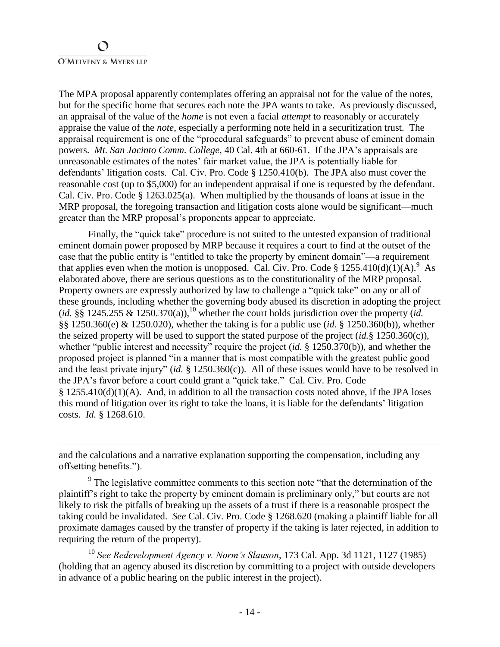The MPA proposal apparently contemplates offering an appraisal not for the value of the notes, but for the specific home that secures each note the JPA wants to take. As previously discussed, an appraisal of the value of the *home* is not even a facial *attempt* to reasonably or accurately appraise the value of the *note*, especially a performing note held in a securitization trust. The appraisal requirement is one of the "procedural safeguards" to prevent abuse of eminent domain powers. *Mt. San Jacinto Comm. College*, 40 Cal. 4th at 660-61. If the JPA's appraisals are unreasonable estimates of the notes' fair market value, the JPA is potentially liable for defendants' litigation costs. Cal. Civ. Pro. Code § 1250.410(b). The JPA also must cover the reasonable cost (up to \$5,000) for an independent appraisal if one is requested by the defendant. Cal. Civ. Pro. Code § 1263.025(a). When multiplied by the thousands of loans at issue in the MRP proposal, the foregoing transaction and litigation costs alone would be significant—much greater than the MRP proposal's proponents appear to appreciate.

Finally, the "quick take" procedure is not suited to the untested expansion of traditional eminent domain power proposed by MRP because it requires a court to find at the outset of the case that the public entity is "entitled to take the property by eminent domain"—a requirement that applies even when the motion is unopposed. Cal. Civ. Pro. Code § 1255.410(d)(1)(A).<sup>9</sup> As elaborated above, there are serious questions as to the constitutionality of the MRP proposal. Property owners are expressly authorized by law to challenge a "quick take" on any or all of these grounds, including whether the governing body abused its discretion in adopting the project  $(id. \S \S 1245.255 \& 1250.370(a)),$ <sup>10</sup> whether the court holds jurisdiction over the property *(id.*) §§ 1250.360(e) & 1250.020), whether the taking is for a public use (*id.* § 1250.360(b)), whether the seized property will be used to support the stated purpose of the project (*id.*§ 1250.360(c)), whether "public interest and necessity" require the project (*id.* § 1250.370(b)), and whether the proposed project is planned "in a manner that is most compatible with the greatest public good and the least private injury" (*id.* § 1250.360(c)). All of these issues would have to be resolved in the JPA's favor before a court could grant a "quick take." Cal. Civ. Pro. Code § 1255.410(d)(1)(A). And, in addition to all the transaction costs noted above, if the JPA loses this round of litigation over its right to take the loans, it is liable for the defendants' litigation costs. *Id.* § 1268.610.

and the calculations and a narrative explanation supporting the compensation, including any offsetting benefits.").

 $9<sup>9</sup>$  The legislative committee comments to this section note "that the determination of the plaintiff's right to take the property by eminent domain is preliminary only," but courts are not likely to risk the pitfalls of breaking up the assets of a trust if there is a reasonable prospect the taking could be invalidated. *See* Cal. Civ. Pro. Code § 1268.620 (making a plaintiff liable for all proximate damages caused by the transfer of property if the taking is later rejected, in addition to requiring the return of the property).

<sup>10</sup> *See Redevelopment Agency v. Norm's Slauson*, 173 Cal. App. 3d 1121, 1127 (1985) (holding that an agency abused its discretion by committing to a project with outside developers in advance of a public hearing on the public interest in the project).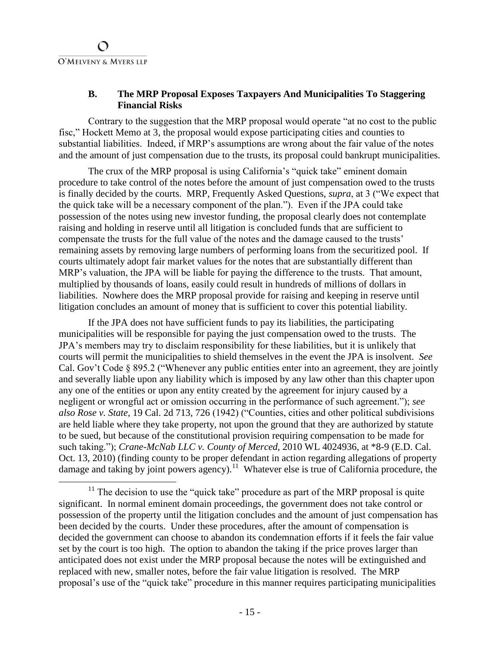## **B. The MRP Proposal Exposes Taxpayers And Municipalities To Staggering Financial Risks**

Contrary to the suggestion that the MRP proposal would operate "at no cost to the public fisc," Hockett Memo at 3, the proposal would expose participating cities and counties to substantial liabilities. Indeed, if MRP's assumptions are wrong about the fair value of the notes and the amount of just compensation due to the trusts, its proposal could bankrupt municipalities.

The crux of the MRP proposal is using California's "quick take" eminent domain procedure to take control of the notes before the amount of just compensation owed to the trusts is finally decided by the courts. MRP, Frequently Asked Questions, *supra*, at 3 ("We expect that the quick take will be a necessary component of the plan."). Even if the JPA could take possession of the notes using new investor funding, the proposal clearly does not contemplate raising and holding in reserve until all litigation is concluded funds that are sufficient to compensate the trusts for the full value of the notes and the damage caused to the trusts' remaining assets by removing large numbers of performing loans from the securitized pool. If courts ultimately adopt fair market values for the notes that are substantially different than MRP's valuation, the JPA will be liable for paying the difference to the trusts. That amount, multiplied by thousands of loans, easily could result in hundreds of millions of dollars in liabilities. Nowhere does the MRP proposal provide for raising and keeping in reserve until litigation concludes an amount of money that is sufficient to cover this potential liability.

If the JPA does not have sufficient funds to pay its liabilities, the participating municipalities will be responsible for paying the just compensation owed to the trusts. The JPA's members may try to disclaim responsibility for these liabilities, but it is unlikely that courts will permit the municipalities to shield themselves in the event the JPA is insolvent. *See* Cal. Gov't Code § 895.2 ("Whenever any public entities enter into an agreement, they are jointly and severally liable upon any liability which is imposed by any law other than this chapter upon any one of the entities or upon any entity created by the agreement for injury caused by a negligent or wrongful act or omission occurring in the performance of such agreement."); *see also Rose v. State*, 19 Cal. 2d 713, 726 (1942) ("Counties, cities and other political subdivisions are held liable where they take property, not upon the ground that they are authorized by statute to be sued, but because of the constitutional provision requiring compensation to be made for such taking."); *Crane-McNab LLC v. County of Merced*, 2010 WL 4024936, at \*8-9 (E.D. Cal. Oct. 13, 2010) (finding county to be proper defendant in action regarding allegations of property damage and taking by joint powers agency).<sup>11</sup> Whatever else is true of California procedure, the

 $11$  The decision to use the "quick take" procedure as part of the MRP proposal is quite significant. In normal eminent domain proceedings, the government does not take control or possession of the property until the litigation concludes and the amount of just compensation has been decided by the courts. Under these procedures, after the amount of compensation is decided the government can choose to abandon its condemnation efforts if it feels the fair value set by the court is too high. The option to abandon the taking if the price proves larger than anticipated does not exist under the MRP proposal because the notes will be extinguished and replaced with new, smaller notes, before the fair value litigation is resolved. The MRP proposal's use of the "quick take" procedure in this manner requires participating municipalities